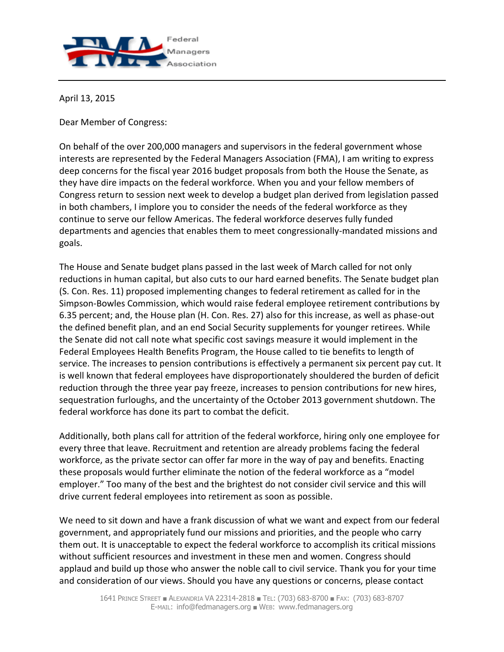

April 13, 2015

Dear Member of Congress:

On behalf of the over 200,000 managers and supervisors in the federal government whose interests are represented by the Federal Managers Association (FMA), I am writing to express deep concerns for the fiscal year 2016 budget proposals from both the House the Senate, as they have dire impacts on the federal workforce. When you and your fellow members of Congress return to session next week to develop a budget plan derived from legislation passed in both chambers, I implore you to consider the needs of the federal workforce as they continue to serve our fellow Americas. The federal workforce deserves fully funded departments and agencies that enables them to meet congressionally-mandated missions and goals.

The House and Senate budget plans passed in the last week of March called for not only reductions in human capital, but also cuts to our hard earned benefits. The Senate budget plan (S. Con. Res. 11) proposed implementing changes to federal retirement as called for in the Simpson-Bowles Commission, which would raise federal employee retirement contributions by 6.35 percent; and, the House plan (H. Con. Res. 27) also for this increase, as well as phase-out the defined benefit plan, and an end Social Security supplements for younger retirees. While the Senate did not call note what specific cost savings measure it would implement in the Federal Employees Health Benefits Program, the House called to tie benefits to length of service. The increases to pension contributions is effectively a permanent six percent pay cut. It is well known that federal employees have disproportionately shouldered the burden of deficit reduction through the three year pay freeze, increases to pension contributions for new hires, sequestration furloughs, and the uncertainty of the October 2013 government shutdown. The federal workforce has done its part to combat the deficit.

Additionally, both plans call for attrition of the federal workforce, hiring only one employee for every three that leave. Recruitment and retention are already problems facing the federal workforce, as the private sector can offer far more in the way of pay and benefits. Enacting these proposals would further eliminate the notion of the federal workforce as a "model employer." Too many of the best and the brightest do not consider civil service and this will drive current federal employees into retirement as soon as possible.

We need to sit down and have a frank discussion of what we want and expect from our federal government, and appropriately fund our missions and priorities, and the people who carry them out. It is unacceptable to expect the federal workforce to accomplish its critical missions without sufficient resources and investment in these men and women. Congress should applaud and build up those who answer the noble call to civil service. Thank you for your time and consideration of our views. Should you have any questions or concerns, please contact